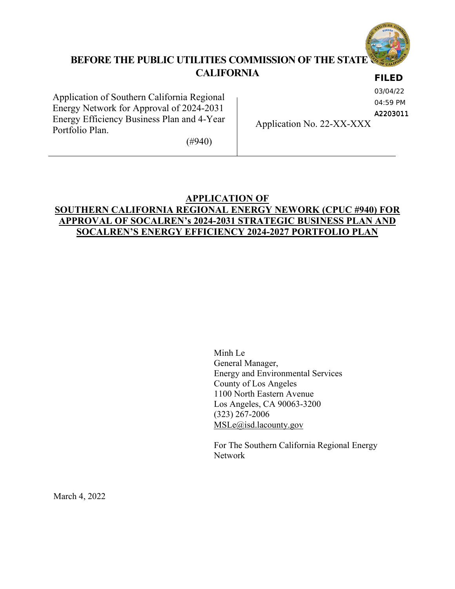

# **BEFORE THE PUBLIC UTILITIES COMMISSION OF THE STATE OF CALIFORNIA**

## **FILED**

Application of Southern California Regional Energy Network for Approval of 2024-2031 Energy Efficiency Business Plan and 4-Year Portfolio Plan.

03/04/22

04:59 PM

A2203011

Application No. 22-XX-XXX

(#940)

# **APPLICATION OF SOUTHERN CALIFORNIA REGIONAL ENERGY NEWORK (CPUC #940) FOR APPROVAL OF SOCALREN's 2024-2031 STRATEGIC BUSINESS PLAN AND SOCALREN'S ENERGY EFFICIENCY 2024-2027 PORTFOLIO PLAN**

Minh Le General Manager, Energy and Environmental Services County of Los Angeles 1100 North Eastern Avenue Los Angeles, CA 90063-3200 (323) 267-2006 MSLe@isd.lacounty.gov

For The Southern California Regional Energy Network

March 4, 2022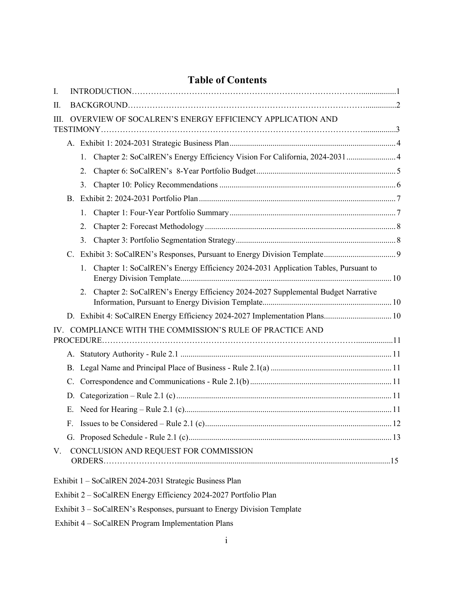| I. |    |    |                                                                                   |  |  |  |
|----|----|----|-----------------------------------------------------------------------------------|--|--|--|
| Π. |    |    |                                                                                   |  |  |  |
| Ш. |    |    | OVERVIEW OF SOCALREN'S ENERGY EFFICIENCY APPLICATION AND                          |  |  |  |
|    |    |    |                                                                                   |  |  |  |
|    |    | 1. | Chapter 2: SoCalREN's Energy Efficiency Vision For California, 2024-2031 4        |  |  |  |
|    |    | 2. |                                                                                   |  |  |  |
|    |    | 3. |                                                                                   |  |  |  |
|    |    |    |                                                                                   |  |  |  |
|    |    | 1. |                                                                                   |  |  |  |
|    |    | 2. |                                                                                   |  |  |  |
|    |    | 3. |                                                                                   |  |  |  |
|    |    |    |                                                                                   |  |  |  |
|    |    | 1. | Chapter 1: SoCalREN's Energy Efficiency 2024-2031 Application Tables, Pursuant to |  |  |  |
|    |    | 2. | Chapter 2: SoCalREN's Energy Efficiency 2024-2027 Supplemental Budget Narrative   |  |  |  |
|    |    |    | D. Exhibit 4: SoCalREN Energy Efficiency 2024-2027 Implementation Plans 10        |  |  |  |
|    |    |    | IV. COMPLIANCE WITH THE COMMISSION'S RULE OF PRACTICE AND                         |  |  |  |
|    |    |    |                                                                                   |  |  |  |
|    |    |    |                                                                                   |  |  |  |
|    | C. |    |                                                                                   |  |  |  |
|    | D. |    |                                                                                   |  |  |  |
|    | E. |    |                                                                                   |  |  |  |
|    |    |    |                                                                                   |  |  |  |
|    |    |    |                                                                                   |  |  |  |
| V. |    |    | CONCLUSION AND REQUEST FOR COMMISSION                                             |  |  |  |
|    |    |    | Exhibit 1 - SoCalREN 2024-2031 Strategic Business Plan                            |  |  |  |
|    |    |    | Exhibit 2 – SoCalREN Energy Efficiency 2024-2027 Portfolio Plan                   |  |  |  |
|    |    |    | Exhibit 3 – SoCalREN's Responses, pursuant to Energy Division Template            |  |  |  |

# **Table of Contents**

- 
- Exhibit 4 SoCalREN Program Implementation Plans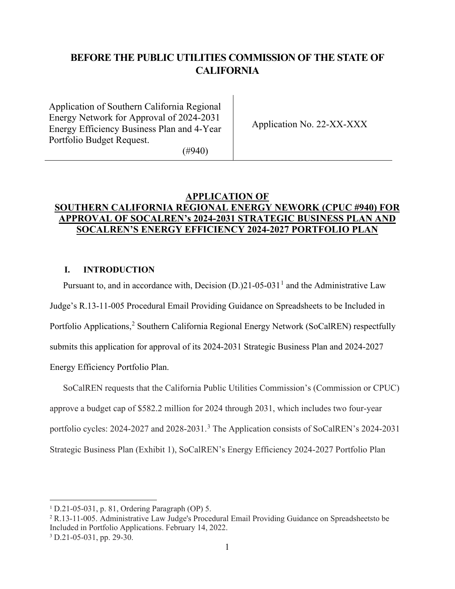# **BEFORE THE PUBLIC UTILITIES COMMISSION OF THE STATE OF CALIFORNIA**

Application of Southern California Regional Energy Network for Approval of 2024-2031 Energy Efficiency Business Plan and 4-Year Portfolio Budget Request.

Application No. 22-XX-XXX

(#940)

# **APPLICATION OF SOUTHERN CALIFORNIA REGIONAL ENERGY NEWORK (CPUC #940) FOR APPROVAL OF SOCALREN's 2024-2031 STRATEGIC BUSINESS PLAN AND SOCALREN'S ENERGY EFFICIENCY 2024-2027 PORTFOLIO PLAN**

# <span id="page-2-0"></span>**I. INTRODUCTION**

Pursuant to, and in accordance with, Decision  $(D.)21-05-031<sup>1</sup>$  $(D.)21-05-031<sup>1</sup>$  $(D.)21-05-031<sup>1</sup>$  and the Administrative Law

Judge's R.13-11-005 Procedural Email Providing Guidance on Spreadsheets to be Included in Portfolio Applications,<sup>[2](#page-2-2)</sup> Southern California Regional Energy Network (SoCalREN) respectfully submits this application for approval of its 2024-2031 Strategic Business Plan and 2024-2027 Energy Efficiency Portfolio Plan.

SoCalREN requests that the California Public Utilities Commission's (Commission or CPUC) approve a budget cap of \$582.2 million for 2024 through 2031, which includes two four-year portfolio cycles: 2024-2027 and 2028-20[3](#page-2-3)1.<sup>3</sup> The Application consists of SoCalREN's 2024-2031 Strategic Business Plan (Exhibit 1), SoCalREN's Energy Efficiency 2024-2027 Portfolio Plan

<span id="page-2-1"></span><sup>1</sup> D.21-05-031, p. 81, Ordering Paragraph (OP) 5.

<span id="page-2-3"></span><span id="page-2-2"></span><sup>2</sup> R.13-11-005. Administrative Law Judge's Procedural Email Providing Guidance on Spreadsheetsto be Included in Portfolio Applications. February 14, 2022. <sup>3</sup> D.21-05-031, pp. 29-30.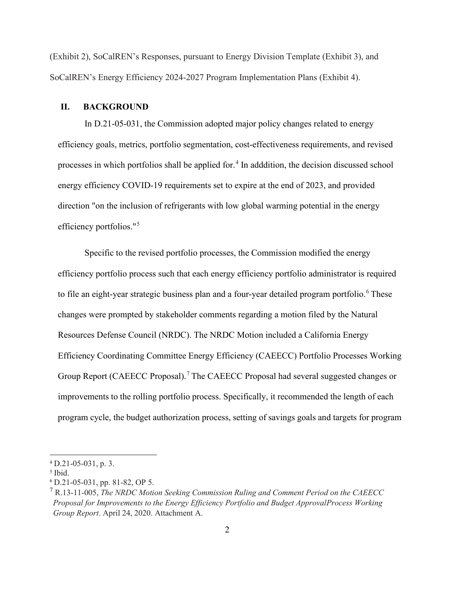(Exhibit 2), SoCalREN's Responses, pursuant to Energy Division Template (Exhibit 3), and SoCalREN's Energy Efficiency 2024-2027 Program Implementation Plans (Exhibit 4).

#### <span id="page-3-0"></span>**II. BACKGROUND**

In D.21-05-031, the Commission adopted major policy changes related to energy efficiency goals, metrics, portfolio segmentation, cost-effectiveness requirements, and revised processes in which portfolios shall be applied for.<sup>[4](#page-3-1)</sup> In adddition, the decision discussed school energy efficiency COVID-19 requirements set to expire at the end of 2023, and provided direction "on the inclusion of refrigerants with low global warming potential in the energy efficiency portfolios."[5](#page-3-2)

Specific to the revised portfolio processes, the Commission modified the energy efficiency portfolio process such that each energy efficiency portfolio administrator is required to file an eight-year strategic business plan and a four-year detailed program portfolio.<sup>[6](#page-3-3)</sup> These changes were prompted by stakeholder comments regarding a motion filed by the Natural Resources Defense Council (NRDC). The NRDC Motion included a California Energy Efficiency Coordinating Committee Energy Efficiency (CAEECC) Portfolio Processes Working Group Report (CAEECC Proposal).<sup>[7](#page-3-4)</sup> The CAEECC Proposal had several suggested changes or improvements to the rolling portfolio process. Specifically, it recommended the length of each program cycle, the budget authorization process, setting of savings goals and targets for program

<span id="page-3-1"></span><sup>4</sup> D.21-05-031, p. 3.

<span id="page-3-2"></span><sup>5</sup> Ibid.

<span id="page-3-3"></span><sup>6</sup> D.21-05-031, pp. 81-82, OP 5.

<span id="page-3-4"></span><sup>7</sup> R.13-11-005, *The NRDC Motion Seeking Commission Ruling and Comment Period on the CAEECC Proposal for Improvements to the Energy Efficiency Portfolio and Budget Approval Process Working Group Report*. April 24, 2020. Attachment A.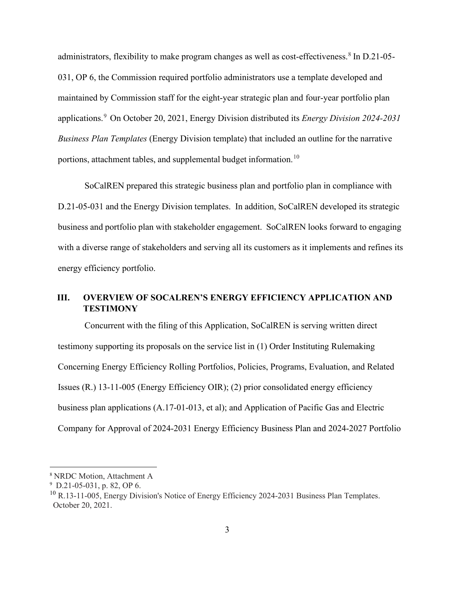administrators, flexibility to make program changes as well as cost-effectiveness.<sup>[8](#page-4-1)</sup> In D.21-05-031, OP 6, the Commission required portfolio administrators use a template developed and maintained by Commission staff for the eight-year strategic plan and four-year portfolio plan applications.[9](#page-4-2) On October 20, 2021, Energy Division distributed its *Energy Division 2024-2031 Business Plan Templates* (Energy Division template) that included an outline for the narrative portions, attachment tables, and supplemental budget information.<sup>[10](#page-4-3)</sup>

SoCalREN prepared this strategic business plan and portfolio plan in compliance with D.21-05-031 and the Energy Division templates. In addition, SoCalREN developed its strategic business and portfolio plan with stakeholder engagement. SoCalREN looks forward to engaging with a diverse range of stakeholders and serving all its customers as it implements and refines its energy efficiency portfolio.

# <span id="page-4-0"></span>**III. OVERVIEW OF SOCALREN'S ENERGY EFFICIENCY APPLICATION AND TESTIMONY**

Concurrent with the filing of this Application, SoCalREN is serving written direct testimony supporting its proposals on the service list in (1) Order Instituting Rulemaking Concerning Energy Efficiency Rolling Portfolios, Policies, Programs, Evaluation, and Related Issues (R.) 13-11-005 (Energy Efficiency OIR); (2) prior consolidated energy efficiency business plan applications (A.17-01-013, et al); and Application of Pacific Gas and Electric Company for Approval of 2024-2031 Energy Efficiency Business Plan and 2024-2027 Portfolio

<span id="page-4-1"></span><sup>8</sup> NRDC Motion, Attachment A

<span id="page-4-3"></span><span id="page-4-2"></span><sup>9</sup> D.21-05-031, p. 82, OP 6.

 $^{10}$  R.13-11-005, Energy Division's Notice of Energy Efficiency 2024-2031 Business Plan Templates. October 20, 2021.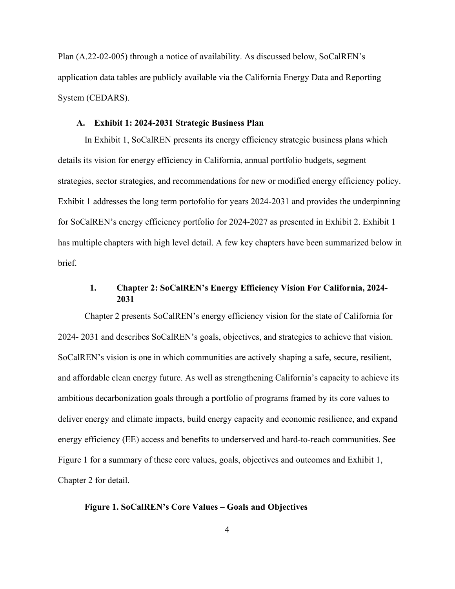Plan (A.22-02-005) through a notice of availability. As discussed below, SoCalREN's application data tables are publicly available via the California Energy Data and Reporting System (CEDARS).

### **A. Exhibit 1: 2024-2031 Strategic Business Plan**

<span id="page-5-0"></span>In Exhibit 1, SoCalREN presents its energy efficiency strategic business plans which details its vision for energy efficiency in California, annual portfolio budgets, segment strategies, sector strategies, and recommendations for new or modified energy efficiency policy. Exhibit 1 addresses the long term portofolio for years 2024-2031 and provides the underpinning for SoCalREN's energy efficiency portfolio for 2024-2027 as presented in Exhibit 2. Exhibit 1 has multiple chapters with high level detail. A few key chapters have been summarized below in brief.

## **1. Chapter 2: SoCalREN's Energy Efficiency Vision For California, 2024- 2031**

<span id="page-5-1"></span>Chapter 2 presents SoCalREN's energy efficiency vision for the state of California for 2024- 2031 and describes SoCalREN's goals, objectives, and strategies to achieve that vision. SoCalREN's vision is one in which communities are actively shaping a safe, secure, resilient, and affordable clean energy future. As well as strengthening California's capacity to achieve its ambitious decarbonization goals through a portfolio of programs framed by its core values to deliver energy and climate impacts, build energy capacity and economic resilience, and expand energy efficiency (EE) access and benefits to underserved and hard-to-reach communities. See Figure 1 for a summary of these core values, goals, objectives and outcomes and Exhibit 1, Chapter 2 for detail.

#### **Figure 1. SoCalREN's Core Values – Goals and Objectives**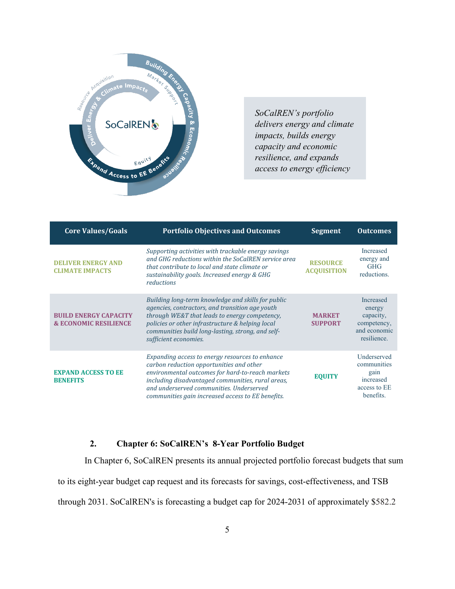

*SoCalREN's portfolio delivers energy and climate impacts, builds energy capacity and economic resilience, and expands access to energy efficiency* 

| <b>Core Values/Goals</b>                                         | <b>Portfolio Objectives and Outcomes</b>                                                                                                                                                                                                                                                              | <b>Segment</b>                        | <b>Outcomes</b>                                                                       |
|------------------------------------------------------------------|-------------------------------------------------------------------------------------------------------------------------------------------------------------------------------------------------------------------------------------------------------------------------------------------------------|---------------------------------------|---------------------------------------------------------------------------------------|
| <b>DELIVER ENERGY AND</b><br><b>CLIMATE IMPACTS</b>              | Supporting activities with trackable energy savings<br>and GHG reductions within the SoCalREN service area<br>that contribute to local and state climate or<br>sustainability goals. Increased energy & GHG<br>reductions                                                                             | <b>RESOURCE</b><br><b>ACQUISITION</b> | <b>Increased</b><br>energy and<br><b>GHG</b><br>reductions.                           |
| <b>BUILD ENERGY CAPACITY</b><br><b>&amp; ECONOMIC RESILIENCE</b> | Building long-term knowledge and skills for public<br>agencies, contractors, and transition age youth<br>through WE&T that leads to energy competency,<br>policies or other infrastructure & helping local<br>communities build long-lasting, strong, and self-<br>sufficient economies.              | <b>MARKET</b><br><b>SUPPORT</b>       | <b>Increased</b><br>energy<br>capacity,<br>competency,<br>and economic<br>resilience. |
| <b>EXPAND ACCESS TO EE</b><br><b>BENEFITS</b>                    | Expanding access to energy resources to enhance<br>carbon reduction opportunities and other<br>environmental outcomes for hard-to-reach markets<br>including disadvantaged communities, rural areas,<br>and underserved communities. Underserved<br>communities gain increased access to EE benefits. | <b>EQUITY</b>                         | Underserved<br>communities<br>gain<br>increased<br>access to EE<br>benefits.          |

# **2. Chapter 6: SoCalREN's 8-Year Portfolio Budget**

<span id="page-6-0"></span>In Chapter 6, SoCalREN presents its annual projected portfolio forecast budgets that sum

to its eight-year budget cap request and its forecasts for savings, cost-effectiveness, and TSB

through 2031. SoCalREN's is forecasting a budget cap for 2024-2031 of approximately \$582.2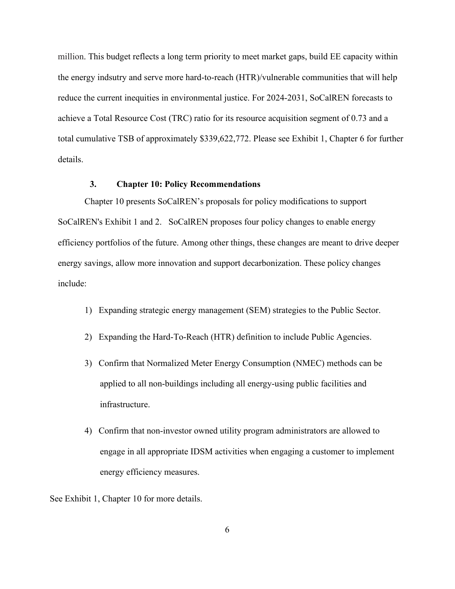million. This budget reflects a long term priority to meet market gaps, build EE capacity within the energy indsutry and serve more hard-to-reach (HTR)/vulnerable communities that will help reduce the current inequities in environmental justice. For 2024-2031, SoCalREN forecasts to achieve a Total Resource Cost (TRC) ratio for its resource acquisition segment of 0.73 and a total cumulative TSB of approximately \$339,622,772. Please see Exhibit 1, Chapter 6 for further details.

## **3. Chapter 10: Policy Recommendations**

<span id="page-7-0"></span>Chapter 10 presents SoCalREN's proposals for policy modifications to support SoCalREN's Exhibit 1 and 2. SoCalREN proposes four policy changes to enable energy efficiency portfolios of the future. Among other things, these changes are meant to drive deeper energy savings, allow more innovation and support decarbonization. These policy changes include:

- 1) Expanding strategic energy management (SEM) strategies to the Public Sector.
- 2) Expanding the Hard-To-Reach (HTR) definition to include Public Agencies.
- 3) Confirm that Normalized Meter Energy Consumption (NMEC) methods can be applied to all non-buildings including all energy-using public facilities and infrastructure.
- 4) Confirm that non-investor owned utility program administrators are allowed to engage in all appropriate IDSM activities when engaging a customer to implement energy efficiency measures.

See Exhibit 1, Chapter 10 for more details.

6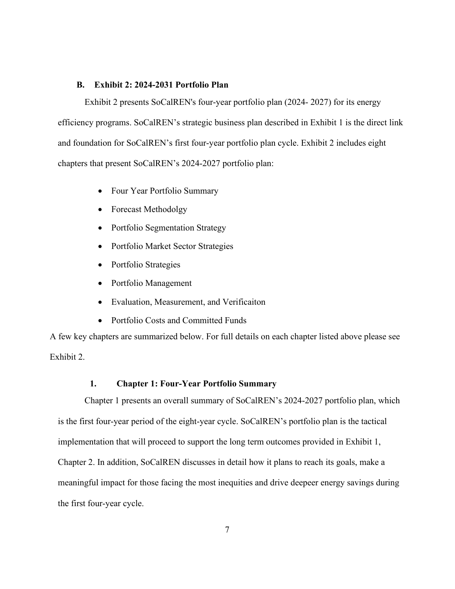#### **B. Exhibit 2: 2024-2031 Portfolio Plan**

<span id="page-8-0"></span>Exhibit 2 presents SoCalREN's four-year portfolio plan (2024- 2027) for its energy efficiency programs. SoCalREN's strategic business plan described in Exhibit 1 is the direct link and foundation for SoCalREN's first four-year portfolio plan cycle. Exhibit 2 includes eight chapters that present SoCalREN's 2024-2027 portfolio plan:

- Four Year Portfolio Summary
- Forecast Methodolgy
- Portfolio Segmentation Strategy
- Portfolio Market Sector Strategies
- Portfolio Strategies
- Portfolio Management
- Evaluation, Measurement, and Verificaiton
- Portfolio Costs and Committed Funds

A few key chapters are summarized below. For full details on each chapter listed above please see Exhibit 2.

#### **1. Chapter 1: Four-Year Portfolio Summary**

<span id="page-8-1"></span>Chapter 1 presents an overall summary of SoCalREN's 2024-2027 portfolio plan, which is the first four-year period of the eight-year cycle. SoCalREN's portfolio plan is the tactical implementation that will proceed to support the long term outcomes provided in Exhibit 1, Chapter 2. In addition, SoCalREN discusses in detail how it plans to reach its goals, make a meaningful impact for those facing the most inequities and drive deepeer energy savings during the first four-year cycle.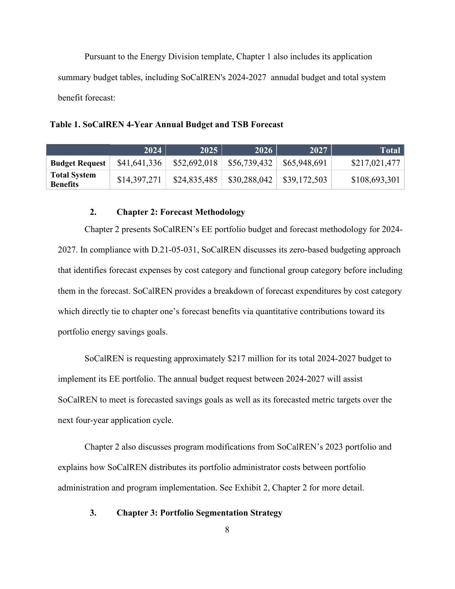Pursuant to the Energy Division template, Chapter 1 also includes its application summary budget tables, including SoCalREN's 2024-2027 annudal budget and total system benefit forecast:

**Table 1. SoCalREN 4-Year Annual Budget and TSB Forecast**

|                                        | 2024         | $\sqrt{2025}$ | 2026         | 2027         | Total         |
|----------------------------------------|--------------|---------------|--------------|--------------|---------------|
| <b>Budget Request</b>                  | \$41,641,336 | \$52,692,018  | \$56,739,432 | \$65,948,691 | \$217,021,477 |
| <b>Total System</b><br><b>Benefits</b> | \$14,397,271 | \$24,835,485  | \$30,288,042 | \$39,172,503 | \$108,693,301 |

### **2. Chapter 2: Forecast Methodology**

<span id="page-9-0"></span>Chapter 2 presents SoCalREN's EE portfolio budget and forecast methodology for 2024- 2027. In compliance with D.21-05-031, SoCalREN discusses its zero-based budgeting approach that identifies forecast expenses by cost category and functional group category before including them in the forecast. SoCalREN provides a breakdown of forecast expenditures by cost category which directly tie to chapter one's forecast benefits via quantitative contributions toward its portfolio energy savings goals.

SoCalREN is requesting approximately \$217 million for its total 2024-2027 budget to implement its EE portfolio. The annual budget request between 2024-2027 will assist SoCalREN to meet is forecasted savings goals as well as its forecasted metric targets over the next four-year application cycle.

Chapter 2 also discusses program modifications from SoCalREN's 2023 portfolio and explains how SoCalREN distributes its portfolio administrator costs between portfolio administration and program implementation. See Exhibit 2, Chapter 2 for more detail.

#### <span id="page-9-1"></span>**3. Chapter 3: Portfolio Segmentation Strategy**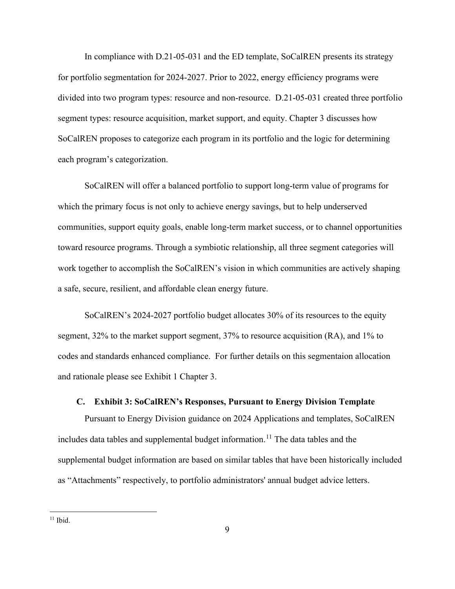In compliance with D.21-05-031 and the ED template, SoCalREN presents its strategy for portfolio segmentation for 2024-2027. Prior to 2022, energy efficiency programs were divided into two program types: resource and non-resource. D.21-05-031 created three portfolio segment types: resource acquisition, market support, and equity. Chapter 3 discusses how SoCalREN proposes to categorize each program in its portfolio and the logic for determining each program's categorization.

SoCalREN will offer a balanced portfolio to support long-term value of programs for which the primary focus is not only to achieve energy savings, but to help underserved communities, support equity goals, enable long-term market success, or to channel opportunities toward resource programs. Through a symbiotic relationship, all three segment categories will work together to accomplish the SoCalREN's vision in which communities are actively shaping a safe, secure, resilient, and affordable clean energy future.

SoCalREN's 2024-2027 portfolio budget allocates 30% of its resources to the equity segment, 32% to the market support segment, 37% to resource acquisition (RA), and 1% to codes and standards enhanced compliance. For further details on this segmentaion allocation and rationale please see Exhibit 1 Chapter 3.

### **C. Exhibit 3: SoCalREN's Responses, Pursuant to Energy Division Template**

<span id="page-10-0"></span>Pursuant to Energy Division guidance on 2024 Applications and templates, SoCalREN includes data tables and supplemental budget information.<sup>[11](#page-10-1)</sup> The data tables and the supplemental budget information are based on similar tables that have been historically included as "Attachments" respectively, to portfolio administrators' annual budget advice letters.

<span id="page-10-1"></span> $11$  Ibid.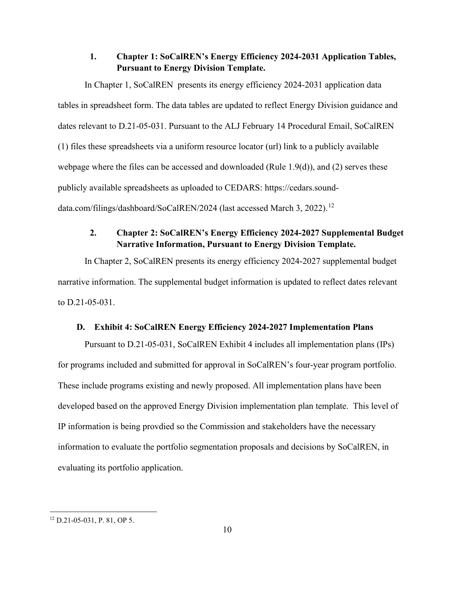## **1. Chapter 1: SoCalREN's Energy Efficiency 2024-2031 Application Tables, Pursuant to Energy Division Template.**

<span id="page-11-0"></span>In Chapter 1, SoCalREN presents its energy efficiency 2024-2031 application data tables in spreadsheet form. The data tables are updated to reflect Energy Division guidance and dates relevant to D.21-05-031. Pursuant to the ALJ February 14 Procedural Email, SoCalREN (1) files these spreadsheets via a uniform resource locator (url) link to a publicly available webpage where the files can be accessed and downloaded (Rule 1.9(d)), and (2) serves these publicly available spreadsheets as uploaded to CEDARS: https://cedars.sound-data.com/filings/dashboard/SoCalREN/2024 (last accessed March 3, 2022).<sup>[12](#page-11-3)</sup>

# **2. Chapter 2: SoCalREN's Energy Efficiency 2024-2027 Supplemental Budget Narrative Information, Pursuant to Energy Division Template.**

<span id="page-11-1"></span>In Chapter 2, SoCalREN presents its energy efficiency 2024-2027 supplemental budget narrative information. The supplemental budget information is updated to reflect dates relevant to D.21-05-031.

### **D. Exhibit 4: SoCalREN Energy Efficiency 2024-2027 Implementation Plans**

<span id="page-11-2"></span>Pursuant to D.21-05-031, SoCalREN Exhibit 4 includes all implementation plans (IPs) for programs included and submitted for approval in SoCalREN's four-year program portfolio. These include programs existing and newly proposed. All implementation plans have been developed based on the approved Energy Division implementation plan template. This level of IP information is being provdied so the Commission and stakeholders have the necessary information to evaluate the portfolio segmentation proposals and decisions by SoCalREN, in evaluating its portfolio application.

<span id="page-11-3"></span><sup>12</sup> D.21-05-031, P. 81, OP 5.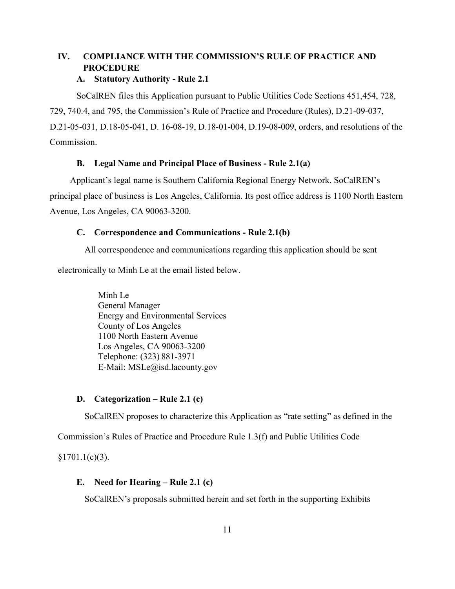# <span id="page-12-0"></span>**IV. COMPLIANCE WITH THE COMMISSION'S RULE OF PRACTICE AND PROCEDURE**

## **A. Statutory Authority - Rule 2.1**

<span id="page-12-1"></span>SoCalREN files this Application pursuant to Public Utilities Code Sections 451,454, 728, 729, 740.4, and 795, the Commission's Rule of Practice and Procedure (Rules), D.21-09-037, D.21-05-031, D.18-05-041, D. 16-08-19, D.18-01-004, D.19-08-009, orders, and resolutions of the Commission.

# **B. Legal Name and Principal Place of Business - Rule 2.1(a)**

<span id="page-12-2"></span>Applicant's legal name is Southern California Regional Energy Network. SoCalREN's principal place of business is Los Angeles, California. Its post office address is 1100 North Eastern Avenue, Los Angeles, CA 90063-3200.

# <span id="page-12-3"></span>**C. Correspondence and Communications - Rule 2.1(b)**

All correspondence and communications regarding this application should be sent

electronically to Minh Le at the email listed below.

Minh Le General Manager Energy and Environmental Services County of Los Angeles 1100 North Eastern Avenue Los Angeles, CA 90063-3200 Telephone: (323) 881-3971 E-Mail: MSLe@isd.lacounty.gov

# <span id="page-12-4"></span>**D. Categorization – Rule 2.1 (c)**

SoCalREN proposes to characterize this Application as "rate setting" as defined in the

Commission's Rules of Practice and Procedure Rule 1.3(f) and Public Utilities Code

<span id="page-12-5"></span> $§1701.1(c)(3).$ 

# **E. Need for Hearing – Rule 2.1 (c)**

SoCalREN's proposals submitted herein and set forth in the supporting Exhibits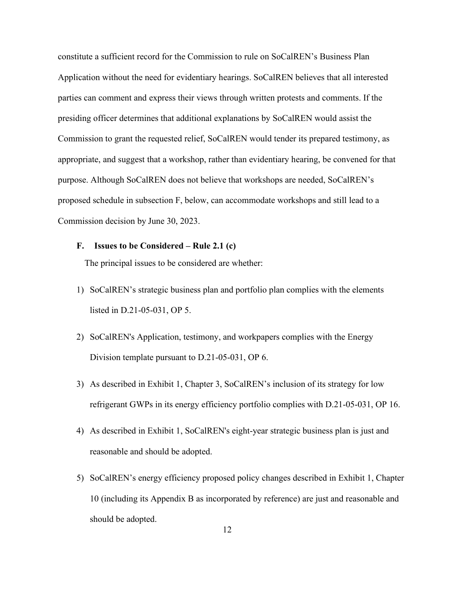constitute a sufficient record for the Commission to rule on SoCalREN's Business Plan Application without the need for evidentiary hearings. SoCalREN believes that all interested parties can comment and express their views through written protests and comments. If the presiding officer determines that additional explanations by SoCalREN would assist the Commission to grant the requested relief, SoCalREN would tender its prepared testimony, as appropriate, and suggest that a workshop, rather than evidentiary hearing, be convened for that purpose. Although SoCalREN does not believe that workshops are needed, SoCalREN's proposed schedule in subsection F, below, can accommodate workshops and still lead to a Commission decision by June 30, 2023.

#### <span id="page-13-0"></span>**F. Issues to be Considered – Rule 2.1 (c)**

The principal issues to be considered are whether:

- 1) SoCalREN's strategic business plan and portfolio plan complies with the elements listed in D.21-05-031, OP 5.
- 2) SoCalREN's Application, testimony, and workpapers complies with the Energy Division template pursuant to D.21-05-031, OP 6.
- 3) As described in Exhibit 1, Chapter 3, SoCalREN's inclusion of its strategy for low refrigerant GWPs in its energy efficiency portfolio complies with D.21-05-031, OP 16.
- 4) As described in Exhibit 1, SoCalREN's eight-year strategic business plan is just and reasonable and should be adopted.
- 5) SoCalREN's energy efficiency proposed policy changes described in Exhibit 1, Chapter 10 (including its Appendix B as incorporated by reference) are just and reasonable and should be adopted.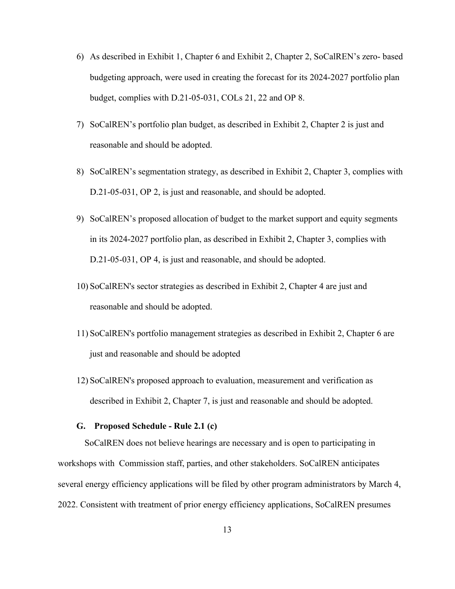- 6) As described in Exhibit 1, Chapter 6 and Exhibit 2, Chapter 2, SoCalREN's zero- based budgeting approach, were used in creating the forecast for its 2024-2027 portfolio plan budget, complies with D.21-05-031, COLs 21, 22 and OP 8.
- 7) SoCalREN's portfolio plan budget, as described in Exhibit 2, Chapter 2 is just and reasonable and should be adopted.
- 8) SoCalREN's segmentation strategy, as described in Exhibit 2, Chapter 3, complies with D.21-05-031, OP 2, is just and reasonable, and should be adopted.
- 9) SoCalREN's proposed allocation of budget to the market support and equity segments in its 2024-2027 portfolio plan, as described in Exhibit 2, Chapter 3, complies with D.21-05-031, OP 4, is just and reasonable, and should be adopted.
- 10) SoCalREN's sector strategies as described in Exhibit 2, Chapter 4 are just and reasonable and should be adopted.
- 11) SoCalREN's portfolio management strategies as described in Exhibit 2, Chapter 6 are just and reasonable and should be adopted
- 12) SoCalREN's proposed approach to evaluation, measurement and verification as described in Exhibit 2, Chapter 7, is just and reasonable and should be adopted.

#### **G. Proposed Schedule - Rule 2.1 (c)**

<span id="page-14-0"></span>SoCalREN does not believe hearings are necessary and is open to participating in workshops with Commission staff, parties, and other stakeholders. SoCalREN anticipates several energy efficiency applications will be filed by other program administrators by March 4, 2022. Consistent with treatment of prior energy efficiency applications, SoCalREN presumes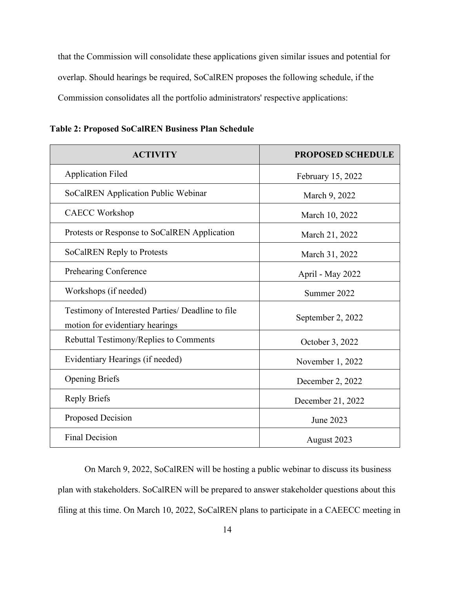that the Commission will consolidate these applications given similar issues and potential for overlap. Should hearings be required, SoCalREN proposes the following schedule, if the Commission consolidates all the portfolio administrators' respective applications:

| <b>ACTIVITY</b>                                                                      | <b>PROPOSED SCHEDULE</b> |  |  |
|--------------------------------------------------------------------------------------|--------------------------|--|--|
| <b>Application Filed</b>                                                             | February 15, 2022        |  |  |
| SoCalREN Application Public Webinar                                                  | March 9, 2022            |  |  |
| <b>CAECC Workshop</b>                                                                | March 10, 2022           |  |  |
| Protests or Response to SoCalREN Application                                         | March 21, 2022           |  |  |
| SoCalREN Reply to Protests                                                           | March 31, 2022           |  |  |
| Prehearing Conference                                                                | April - May 2022         |  |  |
| Workshops (if needed)                                                                | Summer 2022              |  |  |
| Testimony of Interested Parties/ Deadline to file<br>motion for evidentiary hearings | September 2, 2022        |  |  |
| Rebuttal Testimony/Replies to Comments                                               | October 3, 2022          |  |  |
| Evidentiary Hearings (if needed)                                                     | November 1, 2022         |  |  |
| <b>Opening Briefs</b>                                                                | December 2, 2022         |  |  |
| <b>Reply Briefs</b>                                                                  | December 21, 2022        |  |  |
| Proposed Decision                                                                    | June 2023                |  |  |
| <b>Final Decision</b>                                                                | August 2023              |  |  |

**Table 2: Proposed SoCalREN Business Plan Schedule** 

On March 9, 2022, SoCalREN will be hosting a public webinar to discuss its business plan with stakeholders. SoCalREN will be prepared to answer stakeholder questions about this filing at this time. On March 10, 2022, SoCalREN plans to participate in a CAEECC meeting in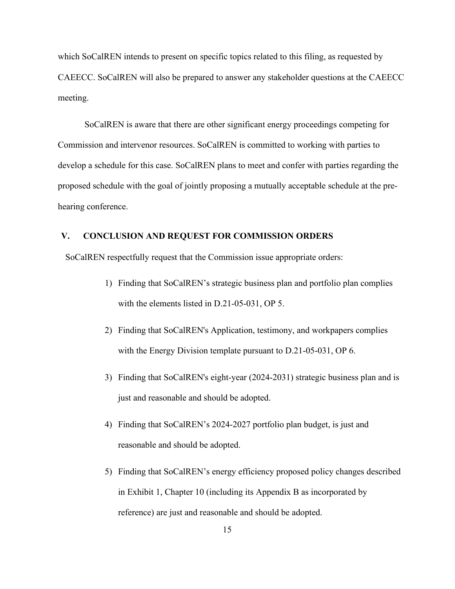which SoCalREN intends to present on specific topics related to this filing, as requested by CAEECC. SoCalREN will also be prepared to answer any stakeholder questions at the CAEECC meeting.

SoCalREN is aware that there are other significant energy proceedings competing for Commission and intervenor resources. SoCalREN is committed to working with parties to develop a schedule for this case. SoCalREN plans to meet and confer with parties regarding the proposed schedule with the goal of jointly proposing a mutually acceptable schedule at the prehearing conference.

#### <span id="page-16-0"></span>**V. CONCLUSION AND REQUEST FOR COMMISSION ORDERS**

SoCalREN respectfully request that the Commission issue appropriate orders:

- 1) Finding that SoCalREN's strategic business plan and portfolio plan complies with the elements listed in D.21-05-031, OP 5.
- 2) Finding that SoCalREN's Application, testimony, and workpapers complies with the Energy Division template pursuant to D.21-05-031, OP 6.
- 3) Finding that SoCalREN's eight-year (2024-2031) strategic business plan and is just and reasonable and should be adopted.
- 4) Finding that SoCalREN's 2024-2027 portfolio plan budget, is just and reasonable and should be adopted.
- 5) Finding that SoCalREN's energy efficiency proposed policy changes described in Exhibit 1, Chapter 10 (including its Appendix B as incorporated by reference) are just and reasonable and should be adopted.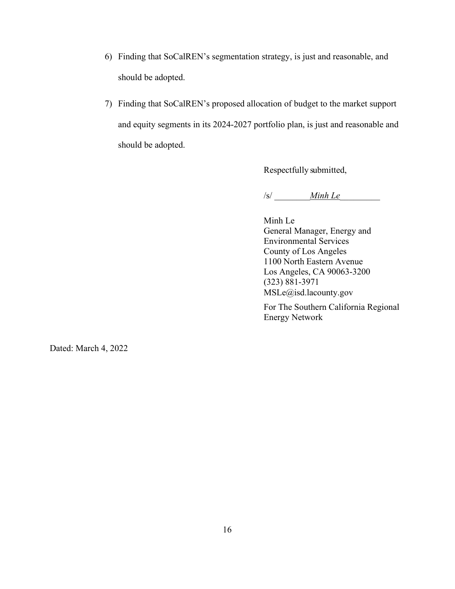- 6) Finding that SoCalREN's segmentation strategy, is just and reasonable, and should be adopted.
- 7) Finding that SoCalREN's proposed allocation of budget to the market support and equity segments in its 2024-2027 portfolio plan, is just and reasonable and should be adopted.

Respectfully submitted,

/s/ *\_\_\_\_\_\_\_\_Minh Le*\_\_\_\_\_\_\_\_\_

Minh Le General Manager, Energy and Environmental Services County of Los Angeles 1100 North Eastern Avenue Los Angeles, CA 90063-3200 (323) 881-3971 MSLe@isd.lacounty.gov

For The Southern California Regional Energy Network

Dated: March 4, 2022